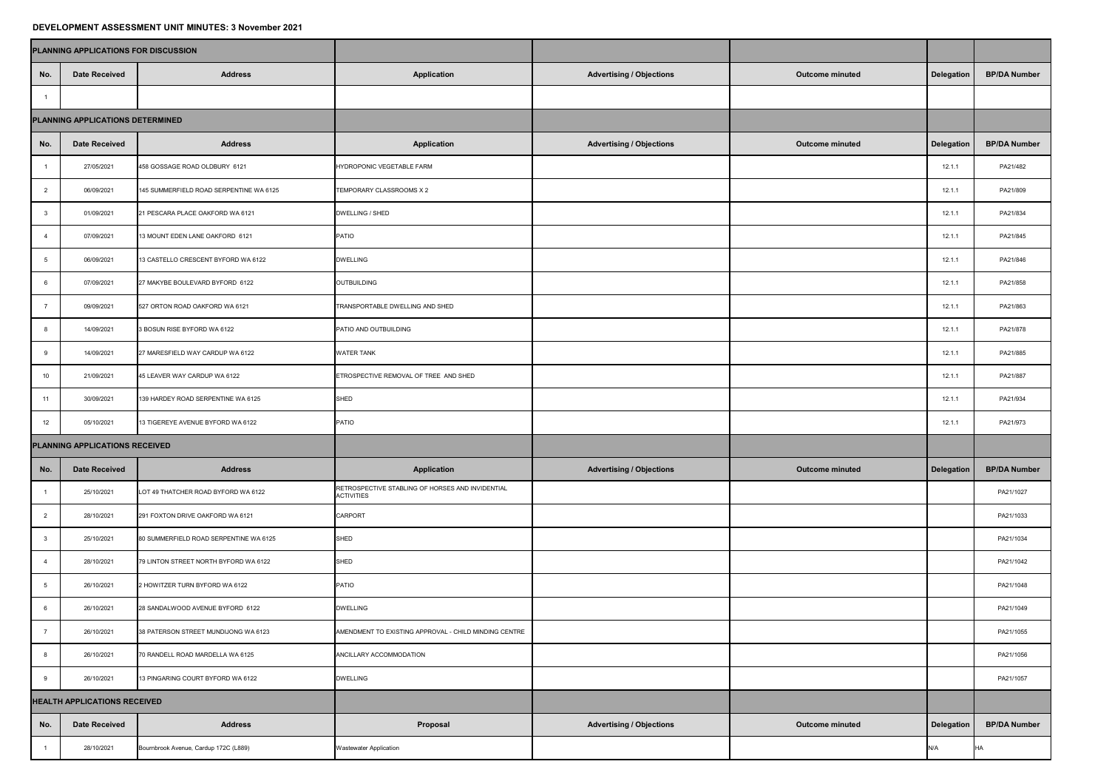## **DEVELOPMENT ASSESSMENT UNIT MINUTES: 3 November 2021**

| PETEEVI MENT AVVEVUMENT VINI MINVIEV. V NOTUMUN EVET |                                     |                                         |                                                                       |                                 |                        |                   |                     |  |  |  |  |  |
|------------------------------------------------------|-------------------------------------|-----------------------------------------|-----------------------------------------------------------------------|---------------------------------|------------------------|-------------------|---------------------|--|--|--|--|--|
| PLANNING APPLICATIONS FOR DISCUSSION                 |                                     |                                         |                                                                       |                                 |                        |                   |                     |  |  |  |  |  |
| No.                                                  | <b>Date Received</b>                | <b>Address</b>                          | <b>Application</b>                                                    | <b>Advertising / Objections</b> | <b>Outcome minuted</b> | <b>Delegation</b> | <b>BP/DA Number</b> |  |  |  |  |  |
|                                                      |                                     |                                         |                                                                       |                                 |                        |                   |                     |  |  |  |  |  |
| PLANNING APPLICATIONS DETERMINED                     |                                     |                                         |                                                                       |                                 |                        |                   |                     |  |  |  |  |  |
| No.                                                  | <b>Date Received</b>                | <b>Address</b>                          | <b>Application</b>                                                    | <b>Advertising / Objections</b> | <b>Outcome minuted</b> | <b>Delegation</b> | <b>BP/DA Number</b> |  |  |  |  |  |
|                                                      | 27/05/2021                          | 458 GOSSAGE ROAD OLDBURY 6121           | HYDROPONIC VEGETABLE FARM                                             |                                 |                        | 12.1.1            | PA21/482            |  |  |  |  |  |
|                                                      | 06/09/2021                          | 145 SUMMERFIELD ROAD SERPENTINE WA 6125 | TEMPORARY CLASSROOMS X 2                                              |                                 |                        | 12.1.1            | PA21/809            |  |  |  |  |  |
| -3                                                   | 01/09/2021                          | 21 PESCARA PLACE OAKFORD WA 6121        | DWELLING / SHED                                                       |                                 |                        | 12.1.1            | PA21/834            |  |  |  |  |  |
|                                                      | 07/09/2021                          | 13 MOUNT EDEN LANE OAKFORD 6121         | <b>PATIO</b>                                                          |                                 |                        | 12.1.1            | PA21/845            |  |  |  |  |  |
|                                                      | 06/09/2021                          | 13 CASTELLO CRESCENT BYFORD WA 6122     | <b>DWELLING</b>                                                       |                                 |                        | 12.1.1            | PA21/846            |  |  |  |  |  |
| -6                                                   | 07/09/2021                          | 27 MAKYBE BOULEVARD BYFORD 6122         | OUTBUILDING                                                           |                                 |                        | 12.1.1            | PA21/858            |  |  |  |  |  |
|                                                      | 09/09/2021                          | 527 ORTON ROAD OAKFORD WA 6121          | TRANSPORTABLE DWELLING AND SHED                                       |                                 |                        | 12.1.1            | PA21/863            |  |  |  |  |  |
|                                                      | 14/09/2021                          | 3 BOSUN RISE BYFORD WA 6122             | PATIO AND OUTBUILDING                                                 |                                 |                        | 12.1.1            | PA21/878            |  |  |  |  |  |
| -9                                                   | 14/09/2021                          | 27 MARESFIELD WAY CARDUP WA 6122        | <b>WATER TANK</b>                                                     |                                 |                        | 12.1.1            | PA21/885            |  |  |  |  |  |
| 10                                                   | 21/09/2021                          | 45 LEAVER WAY CARDUP WA 6122            | ETROSPECTIVE REMOVAL OF TREE AND SHED                                 |                                 |                        | 12.1.1            | PA21/887            |  |  |  |  |  |
| 11                                                   | 30/09/2021                          | 139 HARDEY ROAD SERPENTINE WA 6125      | <b>SHED</b>                                                           |                                 |                        | 12.1.1            | PA21/934            |  |  |  |  |  |
| 12                                                   | 05/10/2021                          | 13 TIGEREYE AVENUE BYFORD WA 6122       | <b>PATIO</b>                                                          |                                 |                        | 12.1.1            | PA21/973            |  |  |  |  |  |
| PLANNING APPLICATIONS RECEIVED                       |                                     |                                         |                                                                       |                                 |                        |                   |                     |  |  |  |  |  |
| No.                                                  | <b>Date Received</b>                | <b>Address</b>                          | <b>Application</b>                                                    | <b>Advertising / Objections</b> | <b>Outcome minuted</b> | <b>Delegation</b> | <b>BP/DA Number</b> |  |  |  |  |  |
|                                                      | 25/10/2021                          | LOT 49 THATCHER ROAD BYFORD WA 6122     | RETROSPECTIVE STABLING OF HORSES AND INVIDENTIAL<br><b>ACTIVITIES</b> |                                 |                        |                   | PA21/1027           |  |  |  |  |  |
| $\mathbb{Z}$                                         | 28/10/2021                          | 291 FOXTON DRIVE OAKFORD WA 6121        | <b>CARPORT</b>                                                        |                                 |                        |                   | PA21/1033           |  |  |  |  |  |
|                                                      | 25/10/2021                          | 80 SUMMERFIELD ROAD SERPENTINE WA 6125  | <b>SHED</b>                                                           |                                 |                        |                   | PA21/1034           |  |  |  |  |  |
|                                                      | 28/10/2021                          | 79 LINTON STREET NORTH BYFORD WA 6122   | SHED                                                                  |                                 |                        |                   | PA21/1042           |  |  |  |  |  |
|                                                      | 26/10/2021                          | 2 HOWITZER TURN BYFORD WA 6122          | <b>PATIO</b>                                                          |                                 |                        |                   | PA21/1048           |  |  |  |  |  |
|                                                      | 26/10/2021                          | 28 SANDALWOOD AVENUE BYFORD 6122        | <b>DWELLING</b>                                                       |                                 |                        |                   | PA21/1049           |  |  |  |  |  |
|                                                      | 26/10/2021                          | 38 PATERSON STREET MUNDIJONG WA 6123    | AMENDMENT TO EXISTING APPROVAL - CHILD MINDING CENTRE                 |                                 |                        |                   | PA21/1055           |  |  |  |  |  |
|                                                      | 26/10/2021                          | 70 RANDELL ROAD MARDELLA WA 6125        | ANCILLARY ACCOMMODATION                                               |                                 |                        |                   | PA21/1056           |  |  |  |  |  |
|                                                      | 26/10/2021                          | 13 PINGARING COURT BYFORD WA 6122       | <b>DWELLING</b>                                                       |                                 |                        |                   | PA21/1057           |  |  |  |  |  |
|                                                      | <b>HEALTH APPLICATIONS RECEIVED</b> |                                         |                                                                       |                                 |                        |                   |                     |  |  |  |  |  |
| No.                                                  | <b>Date Received</b>                | <b>Address</b>                          | Proposal                                                              | <b>Advertising / Objections</b> | <b>Outcome minuted</b> | <b>Delegation</b> | <b>BP/DA Number</b> |  |  |  |  |  |
|                                                      | 28/10/2021                          | Bournbrook Avenue, Cardup 172C (L889)   | <b>Wastewater Application</b>                                         |                                 |                        | N/A               | HA                  |  |  |  |  |  |